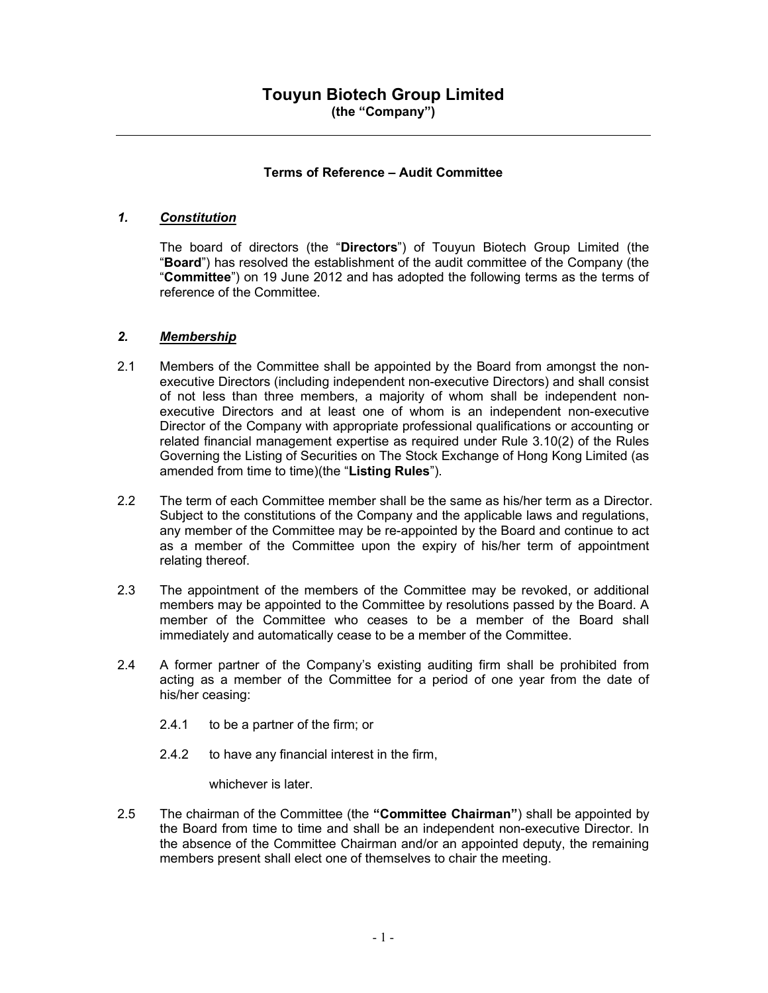### Terms of Reference – Audit Committee

### 1. Constitution

The board of directors (the "Directors") of Touyun Biotech Group Limited (the "Board") has resolved the establishment of the audit committee of the Company (the "Committee") on 19 June 2012 and has adopted the following terms as the terms of reference of the Committee.

#### 2. Membership

- 2.1 Members of the Committee shall be appointed by the Board from amongst the nonexecutive Directors (including independent non-executive Directors) and shall consist of not less than three members, a majority of whom shall be independent nonexecutive Directors and at least one of whom is an independent non-executive Director of the Company with appropriate professional qualifications or accounting or related financial management expertise as required under Rule 3.10(2) of the Rules Governing the Listing of Securities on The Stock Exchange of Hong Kong Limited (as amended from time to time)(the "Listing Rules").
- 2.2 The term of each Committee member shall be the same as his/her term as a Director. Subject to the constitutions of the Company and the applicable laws and regulations, any member of the Committee may be re-appointed by the Board and continue to act as a member of the Committee upon the expiry of his/her term of appointment relating thereof.
- 2.3 The appointment of the members of the Committee may be revoked, or additional members may be appointed to the Committee by resolutions passed by the Board. A member of the Committee who ceases to be a member of the Board shall immediately and automatically cease to be a member of the Committee.
- 2.4 A former partner of the Company's existing auditing firm shall be prohibited from acting as a member of the Committee for a period of one year from the date of his/her ceasing:
	- 2.4.1 to be a partner of the firm; or
	- 2.4.2 to have any financial interest in the firm,

whichever is later.

2.5 The chairman of the Committee (the "Committee Chairman") shall be appointed by the Board from time to time and shall be an independent non-executive Director. In the absence of the Committee Chairman and/or an appointed deputy, the remaining members present shall elect one of themselves to chair the meeting.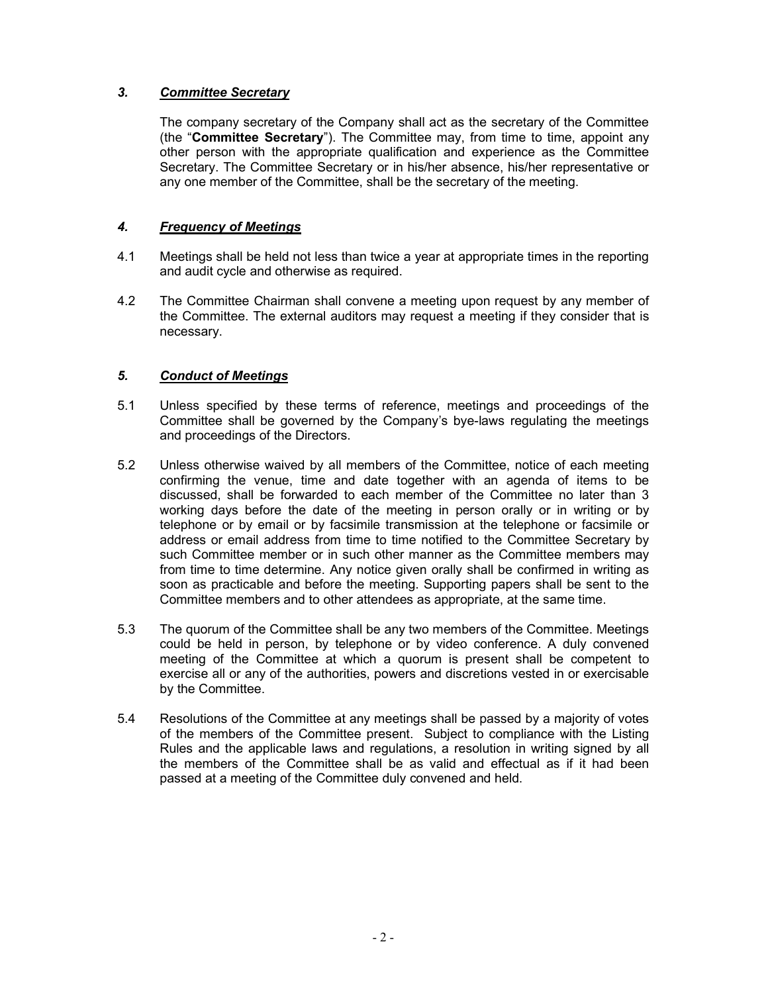## 3. Committee Secretary

The company secretary of the Company shall act as the secretary of the Committee (the "Committee Secretary"). The Committee may, from time to time, appoint any other person with the appropriate qualification and experience as the Committee Secretary. The Committee Secretary or in his/her absence, his/her representative or any one member of the Committee, shall be the secretary of the meeting.

## 4. Frequency of Meetings

- 4.1 Meetings shall be held not less than twice a year at appropriate times in the reporting and audit cycle and otherwise as required.
- 4.2 The Committee Chairman shall convene a meeting upon request by any member of the Committee. The external auditors may request a meeting if they consider that is necessary.

## 5. Conduct of Meetings

- 5.1 Unless specified by these terms of reference, meetings and proceedings of the Committee shall be governed by the Company's bye-laws regulating the meetings and proceedings of the Directors.
- 5.2 Unless otherwise waived by all members of the Committee, notice of each meeting confirming the venue, time and date together with an agenda of items to be discussed, shall be forwarded to each member of the Committee no later than 3 working days before the date of the meeting in person orally or in writing or by telephone or by email or by facsimile transmission at the telephone or facsimile or address or email address from time to time notified to the Committee Secretary by such Committee member or in such other manner as the Committee members may from time to time determine. Any notice given orally shall be confirmed in writing as soon as practicable and before the meeting. Supporting papers shall be sent to the Committee members and to other attendees as appropriate, at the same time.
- 5.3 The quorum of the Committee shall be any two members of the Committee. Meetings could be held in person, by telephone or by video conference. A duly convened meeting of the Committee at which a quorum is present shall be competent to exercise all or any of the authorities, powers and discretions vested in or exercisable by the Committee.
- 5.4 Resolutions of the Committee at any meetings shall be passed by a majority of votes of the members of the Committee present. Subject to compliance with the Listing Rules and the applicable laws and regulations, a resolution in writing signed by all the members of the Committee shall be as valid and effectual as if it had been passed at a meeting of the Committee duly convened and held.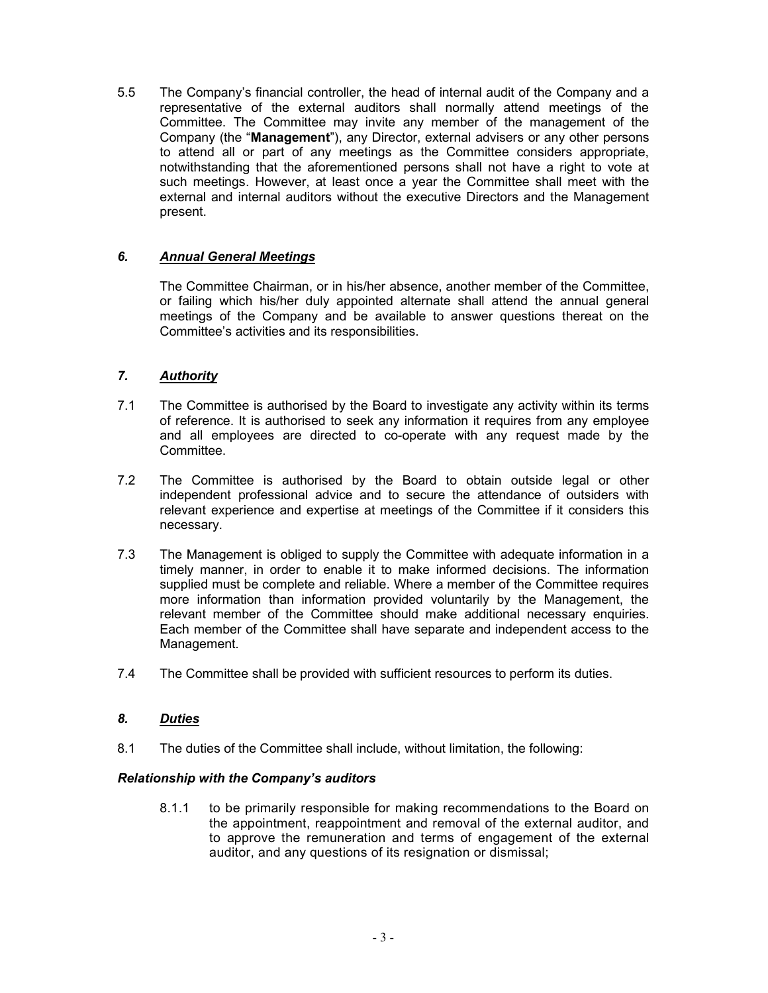5.5 The Company's financial controller, the head of internal audit of the Company and a representative of the external auditors shall normally attend meetings of the Committee. The Committee may invite any member of the management of the Company (the "Management"), any Director, external advisers or any other persons to attend all or part of any meetings as the Committee considers appropriate, notwithstanding that the aforementioned persons shall not have a right to vote at such meetings. However, at least once a year the Committee shall meet with the external and internal auditors without the executive Directors and the Management present.

# 6. Annual General Meetings

The Committee Chairman, or in his/her absence, another member of the Committee, or failing which his/her duly appointed alternate shall attend the annual general meetings of the Company and be available to answer questions thereat on the Committee's activities and its responsibilities.

## 7. Authority

- 7.1 The Committee is authorised by the Board to investigate any activity within its terms of reference. It is authorised to seek any information it requires from any employee and all employees are directed to co-operate with any request made by the Committee.
- 7.2 The Committee is authorised by the Board to obtain outside legal or other independent professional advice and to secure the attendance of outsiders with relevant experience and expertise at meetings of the Committee if it considers this necessary.
- 7.3 The Management is obliged to supply the Committee with adequate information in a timely manner, in order to enable it to make informed decisions. The information supplied must be complete and reliable. Where a member of the Committee requires more information than information provided voluntarily by the Management, the relevant member of the Committee should make additional necessary enquiries. Each member of the Committee shall have separate and independent access to the Management.
- 7.4 The Committee shall be provided with sufficient resources to perform its duties.

#### 8. Duties

8.1 The duties of the Committee shall include, without limitation, the following:

#### Relationship with the Company's auditors

8.1.1 to be primarily responsible for making recommendations to the Board on the appointment, reappointment and removal of the external auditor, and to approve the remuneration and terms of engagement of the external auditor, and any questions of its resignation or dismissal;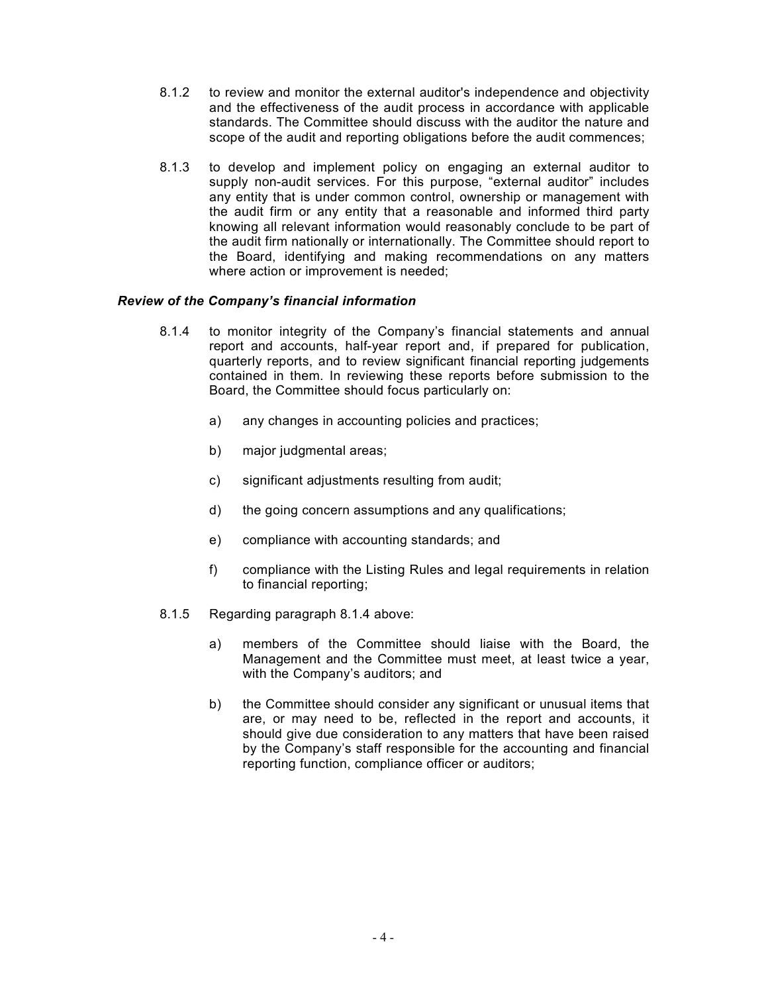- 8.1.2 to review and monitor the external auditor's independence and objectivity and the effectiveness of the audit process in accordance with applicable standards. The Committee should discuss with the auditor the nature and scope of the audit and reporting obligations before the audit commences;
- 8.1.3 to develop and implement policy on engaging an external auditor to supply non-audit services. For this purpose, "external auditor" includes any entity that is under common control, ownership or management with the audit firm or any entity that a reasonable and informed third party knowing all relevant information would reasonably conclude to be part of the audit firm nationally or internationally. The Committee should report to the Board, identifying and making recommendations on any matters where action or improvement is needed;

#### Review of the Company's financial information

- 8.1.4 to monitor integrity of the Company's financial statements and annual report and accounts, half-year report and, if prepared for publication, quarterly reports, and to review significant financial reporting judgements contained in them. In reviewing these reports before submission to the Board, the Committee should focus particularly on:
	- a) any changes in accounting policies and practices;
	- b) major judgmental areas;
	- c) significant adjustments resulting from audit;
	- d) the going concern assumptions and any qualifications;
	- e) compliance with accounting standards; and
	- f) compliance with the Listing Rules and legal requirements in relation to financial reporting;
- 8.1.5 Regarding paragraph 8.1.4 above:
	- a) members of the Committee should liaise with the Board, the Management and the Committee must meet, at least twice a year, with the Company's auditors; and
	- b) the Committee should consider any significant or unusual items that are, or may need to be, reflected in the report and accounts, it should give due consideration to any matters that have been raised by the Company's staff responsible for the accounting and financial reporting function, compliance officer or auditors;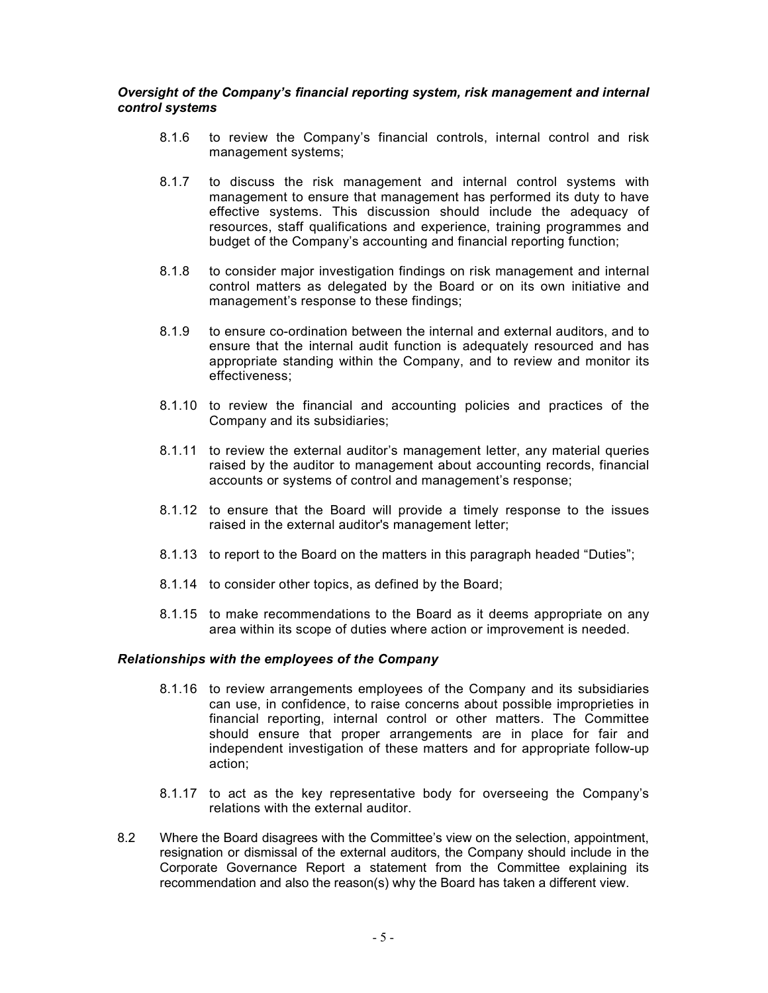#### Oversight of the Company's financial reporting system, risk management and internal control systems

- 8.1.6 to review the Company's financial controls, internal control and risk management systems;
- 8.1.7 to discuss the risk management and internal control systems with management to ensure that management has performed its duty to have effective systems. This discussion should include the adequacy of resources, staff qualifications and experience, training programmes and budget of the Company's accounting and financial reporting function;
- 8.1.8 to consider major investigation findings on risk management and internal control matters as delegated by the Board or on its own initiative and management's response to these findings;
- 8.1.9 to ensure co-ordination between the internal and external auditors, and to ensure that the internal audit function is adequately resourced and has appropriate standing within the Company, and to review and monitor its effectiveness;
- 8.1.10 to review the financial and accounting policies and practices of the Company and its subsidiaries;
- 8.1.11 to review the external auditor's management letter, any material queries raised by the auditor to management about accounting records, financial accounts or systems of control and management's response;
- 8.1.12 to ensure that the Board will provide a timely response to the issues raised in the external auditor's management letter;
- 8.1.13 to report to the Board on the matters in this paragraph headed "Duties";
- 8.1.14 to consider other topics, as defined by the Board;
- 8.1.15 to make recommendations to the Board as it deems appropriate on any area within its scope of duties where action or improvement is needed.

#### Relationships with the employees of the Company

- 8.1.16 to review arrangements employees of the Company and its subsidiaries can use, in confidence, to raise concerns about possible improprieties in financial reporting, internal control or other matters. The Committee should ensure that proper arrangements are in place for fair and independent investigation of these matters and for appropriate follow-up action;
- 8.1.17 to act as the key representative body for overseeing the Company's relations with the external auditor.
- 8.2 Where the Board disagrees with the Committee's view on the selection, appointment, resignation or dismissal of the external auditors, the Company should include in the Corporate Governance Report a statement from the Committee explaining its recommendation and also the reason(s) why the Board has taken a different view.